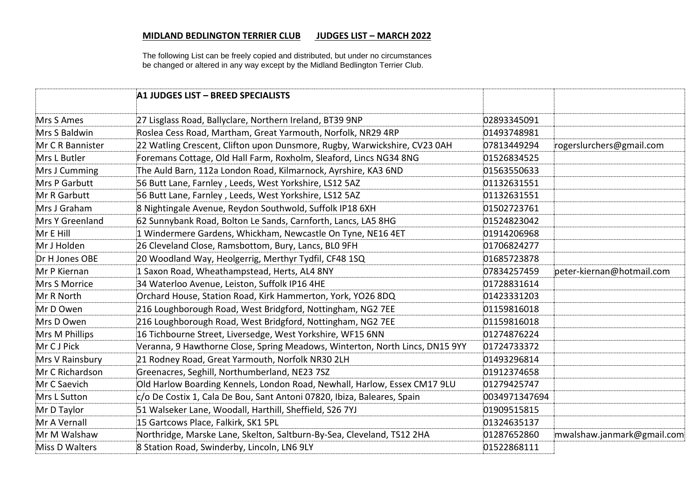The following List can be freely copied and distributed, but under no circumstances be changed or altered in any way except by the Midland Bedlington Terrier Club.

|                  | A1 JUDGES LIST - BREED SPECIALISTS                                           |               |                            |
|------------------|------------------------------------------------------------------------------|---------------|----------------------------|
| Mrs S Ames       | 27 Lisglass Road, Ballyclare, Northern Ireland, BT39 9NP                     | 02893345091   |                            |
| Mrs S Baldwin    | Roslea Cess Road, Martham, Great Yarmouth, Norfolk, NR29 4RP                 | 01493748981   |                            |
| Mr C R Bannister | 22 Watling Crescent, Clifton upon Dunsmore, Rugby, Warwickshire, CV23 0AH    | 07813449294   | rogerslurchers@gmail.com   |
| Mrs L Butler     | Foremans Cottage, Old Hall Farm, Roxholm, Sleaford, Lincs NG34 8NG           | 01526834525   |                            |
| Mrs J Cumming    | The Auld Barn, 112a London Road, Kilmarnock, Ayrshire, KA3 6ND               | 01563550633   |                            |
| Mrs P Garbutt    | 56 Butt Lane, Farnley, Leeds, West Yorkshire, LS12 5AZ                       | 01132631551   |                            |
| Mr R Garbutt     | 56 Butt Lane, Farnley, Leeds, West Yorkshire, LS12 5AZ                       | 01132631551   |                            |
| Mrs J Graham     | 8 Nightingale Avenue, Reydon Southwold, Suffolk IP18 6XH                     | 01502723761   |                            |
| Mrs Y Greenland  | 62 Sunnybank Road, Bolton Le Sands, Carnforth, Lancs, LA5 8HG                | 01524823042   |                            |
| Mr E Hill        | 1 Windermere Gardens, Whickham, Newcastle On Tyne, NE16 4ET                  | 01914206968   |                            |
| Mr J Holden      | 26 Cleveland Close, Ramsbottom, Bury, Lancs, BLO 9FH                         | 01706824277   |                            |
| Dr H Jones OBE   | 20 Woodland Way, Heolgerrig, Merthyr Tydfil, CF48 1SQ                        | 01685723878   |                            |
| Mr P Kiernan     | 1 Saxon Road, Wheathampstead, Herts, AL4 8NY                                 | 07834257459   | peter-kiernan@hotmail.com  |
| Mrs S Morrice    | 34 Waterloo Avenue, Leiston, Suffolk IP16 4HE                                | 01728831614   |                            |
| Mr R North       | Orchard House, Station Road, Kirk Hammerton, York, YO26 8DQ                  | 01423331203   |                            |
| Mr D Owen        | 216 Loughborough Road, West Bridgford, Nottingham, NG2 7EE                   | 01159816018   |                            |
| Mrs D Owen       | 216 Loughborough Road, West Bridgford, Nottingham, NG2 7EE                   | 01159816018   |                            |
| Mrs M Phillips   | 16 Tichbourne Street, Liversedge, West Yorkshire, WF15 6NN                   | 01274876224   |                            |
| Mr C J Pick      | Veranna, 9 Hawthorne Close, Spring Meadows, Winterton, North Lincs, DN15 9YY | 01724733372   |                            |
| Mrs V Rainsbury  | 21 Rodney Road, Great Yarmouth, Norfolk NR30 2LH                             | 01493296814   |                            |
| Mr C Richardson  | Greenacres, Seghill, Northumberland, NE23 7SZ                                | 01912374658   |                            |
| Mr C Saevich     | Old Harlow Boarding Kennels, London Road, Newhall, Harlow, Essex CM17 9LU    | 01279425747   |                            |
| Mrs L Sutton     | c/o De Costix 1, Cala De Bou, Sant Antoni 07820, Ibiza, Baleares, Spain      | 0034971347694 |                            |
| Mr D Taylor      | 51 Walseker Lane, Woodall, Harthill, Sheffield, S26 7YJ                      | 01909515815   |                            |
| Mr A Vernall     | 15 Gartcows Place, Falkirk, SK1 5PL                                          | 01324635137   |                            |
| Mr M Walshaw     | Northridge, Marske Lane, Skelton, Saltburn-By-Sea, Cleveland, TS12 2HA       | 01287652860   | mwalshaw.janmark@gmail.com |
| Miss D Walters   | 8 Station Road, Swinderby, Lincoln, LN6 9LY                                  | 01522868111   |                            |
|                  |                                                                              |               |                            |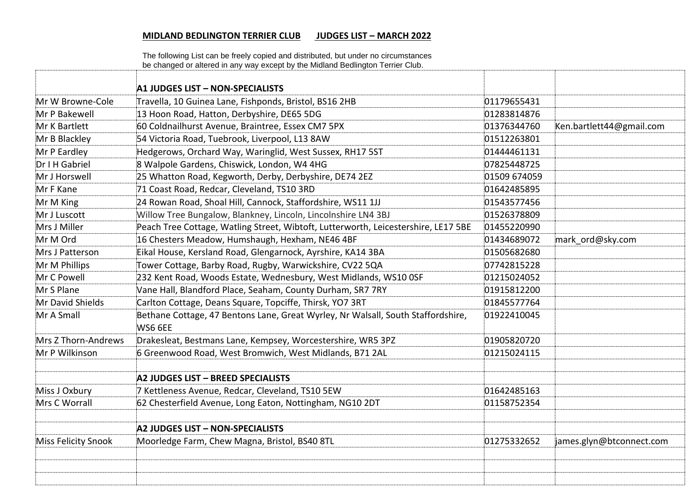The following List can be freely copied and distributed, but under no circumstances be changed or altered in any way except by the Midland Bedlington Terrier Club.

|                     | A1 JUDGES LIST - NON-SPECIALISTS                                                            |              |                          |
|---------------------|---------------------------------------------------------------------------------------------|--------------|--------------------------|
| Mr W Browne-Cole    | Travella, 10 Guinea Lane, Fishponds, Bristol, BS16 2HB                                      | 01179655431  |                          |
| Mr P Bakewell       | 13 Hoon Road, Hatton, Derbyshire, DE65 5DG                                                  | 01283814876  |                          |
| Mr K Bartlett       | 60 Coldnailhurst Avenue, Braintree, Essex CM7 5PX                                           | 01376344760  | Ken.bartlett44@gmail.com |
| Mr B Blackley       | 54 Victoria Road, Tuebrook, Liverpool, L13 8AW                                              | 01512263801  |                          |
| Mr P Eardley        | Hedgerows, Orchard Way, Waringlid, West Sussex, RH17 5ST                                    | 01444461131  |                          |
| Dr I H Gabriel      | 8 Walpole Gardens, Chiswick, London, W4 4HG                                                 | 07825448725  |                          |
| Mr J Horswell       | 25 Whatton Road, Kegworth, Derby, Derbyshire, DE74 2EZ                                      | 01509 674059 |                          |
| Mr F Kane           | 71 Coast Road, Redcar, Cleveland, TS10 3RD                                                  | 01642485895  |                          |
| Mr M King           | 24 Rowan Road, Shoal Hill, Cannock, Staffordshire, WS11 1JJ                                 | 01543577456  |                          |
| Mr J Luscott        | Willow Tree Bungalow, Blankney, Lincoln, Lincolnshire LN4 3BJ                               | 01526378809  |                          |
| Mrs J Miller        | Peach Tree Cottage, Watling Street, Wibtoft, Lutterworth, Leicestershire, LE17 5BE          | 01455220990  |                          |
| Mr M Ord            | 16 Chesters Meadow, Humshaugh, Hexham, NE46 4BF                                             | 01434689072  | mark ord@sky.com         |
| Mrs J Patterson     | Eikal House, Kersland Road, Glengarnock, Ayrshire, KA14 3BA                                 | 01505682680  |                          |
| Mr M Phillips       | Tower Cottage, Barby Road, Rugby, Warwickshire, CV22 5QA                                    | 07742815228  |                          |
| Mr C Powell         | 232 Kent Road, Woods Estate, Wednesbury, West Midlands, WS10 OSF                            | 01215024052  |                          |
| Mr S Plane          | Vane Hall, Blandford Place, Seaham, County Durham, SR7 7RY                                  | 01915812200  |                          |
| Mr David Shields    | Carlton Cottage, Deans Square, Topciffe, Thirsk, YO7 3RT                                    | 01845577764  |                          |
| Mr A Small          | Bethane Cottage, 47 Bentons Lane, Great Wyrley, Nr Walsall, South Staffordshire,<br>WS6 6EE | 01922410045  |                          |
| Mrs Z Thorn-Andrews | Drakesleat, Bestmans Lane, Kempsey, Worcestershire, WR5 3PZ                                 | 01905820720  |                          |
| Mr P Wilkinson      | 6 Greenwood Road, West Bromwich, West Midlands, B71 2AL                                     | 01215024115  |                          |
|                     |                                                                                             |              |                          |
|                     | A2 JUDGES LIST - BREED SPECIALISTS                                                          |              |                          |
| Miss J Oxbury       | 7 Kettleness Avenue, Redcar, Cleveland, TS10 5EW                                            | 01642485163  |                          |
| Mrs C Worrall       | 62 Chesterfield Avenue, Long Eaton, Nottingham, NG10 2DT                                    | 01158752354  |                          |
|                     | A2 JUDGES LIST - NON-SPECIALISTS                                                            |              |                          |
| Miss Felicity Snook | Moorledge Farm, Chew Magna, Bristol, BS40 8TL                                               | 01275332652  | james.glyn@btconnect.com |
|                     |                                                                                             |              |                          |
|                     |                                                                                             |              |                          |
|                     |                                                                                             |              |                          |
|                     |                                                                                             |              |                          |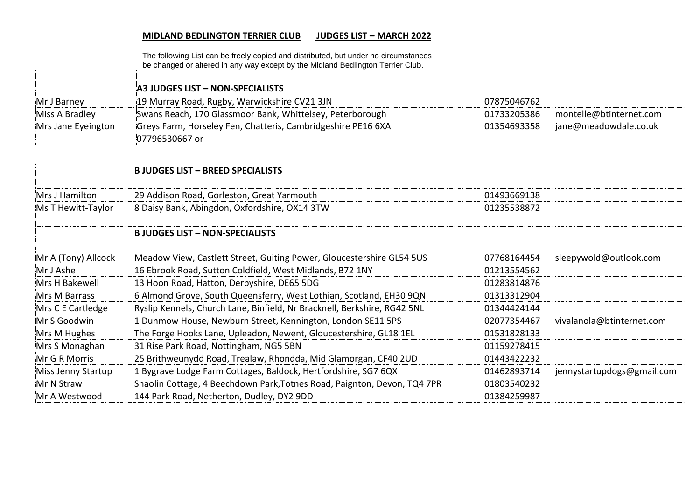The following List can be freely copied and distributed, but under no circumstances be changed or altered in any way except by the Midland Bedlington Terrier Club.

|                    | A3 JUDGES LIST - NON-SPECIALISTS                                               |             |                         |
|--------------------|--------------------------------------------------------------------------------|-------------|-------------------------|
| Mr J Barney        | 19 Murray Road, Rugby, Warwickshire CV21 3JN                                   | 07875046762 |                         |
| Miss A Bradley     | Swans Reach, 170 Glassmoor Bank, Whittelsey, Peterborough                      | 01733205386 | montelle@btinternet.com |
| Mrs Jane Eyeington | Greys Farm, Horseley Fen, Chatteris, Cambridgeshire PE16 6XA<br>07796530667 or | 01354693358 | jane@meadowdale.co.uk   |

|                     | <b>B JUDGES LIST - BREED SPECIALISTS</b>                                 |             |                            |
|---------------------|--------------------------------------------------------------------------|-------------|----------------------------|
| Mrs J Hamilton      | 29 Addison Road, Gorleston, Great Yarmouth                               | 01493669138 |                            |
| Ms T Hewitt-Taylor  | 8 Daisy Bank, Abingdon, Oxfordshire, OX14 3TW                            | 01235538872 |                            |
|                     |                                                                          |             |                            |
|                     | <b>B JUDGES LIST - NON-SPECIALISTS</b>                                   |             |                            |
| Mr A (Tony) Allcock | Meadow View, Castlett Street, Guiting Power, Gloucestershire GL54 5US    | 07768164454 | sleepywold@outlook.com     |
| Mr J Ashe           | 16 Ebrook Road, Sutton Coldfield, West Midlands, B72 1NY                 | 01213554562 |                            |
| Mrs H Bakewell      | 13 Hoon Road, Hatton, Derbyshire, DE65 5DG                               | 01283814876 |                            |
| Mrs M Barrass       | 6 Almond Grove, South Queensferry, West Lothian, Scotland, EH30 9QN      | 01313312904 |                            |
| Mrs C E Cartledge   | Ryslip Kennels, Church Lane, Binfield, Nr Bracknell, Berkshire, RG42 5NL | 01344424144 |                            |
| Mr S Goodwin        | 1 Dunmow House, Newburn Street, Kennington, London SE11 5PS              | 02077354467 | vivalanola@btinternet.com  |
| Mrs M Hughes        | The Forge Hooks Lane, Upleadon, Newent, Gloucestershire, GL18 1EL        | 01531828133 |                            |
| Mrs S Monaghan      | 31 Rise Park Road, Nottingham, NG5 5BN                                   | 01159278415 |                            |
| Mr G R Morris       | 25 Brithweunydd Road, Trealaw, Rhondda, Mid Glamorgan, CF40 2UD          | 01443422232 |                            |
| Miss Jenny Startup  | 1 Bygrave Lodge Farm Cottages, Baldock, Hertfordshire, SG7 6QX           | 01462893714 | jennystartupdogs@gmail.com |
| Mr N Straw          | Shaolin Cottage, 4 Beechdown Park, Totnes Road, Paignton, Devon, TQ4 7PR | 01803540232 |                            |
| Mr A Westwood       | 144 Park Road, Netherton, Dudley, DY2 9DD                                | 01384259987 |                            |